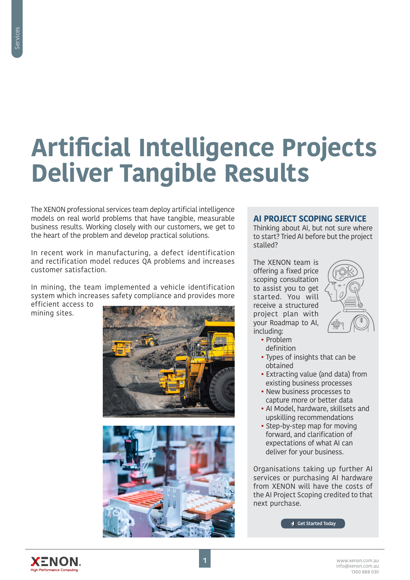# **Artificial Intelligence Projects Deliver Tangible Results**

The XENON professional services team deploy artificial intelligence models on real world problems that have tangible, measurable business results. Working closely with our customers, we get to the heart of the problem and develop practical solutions.

In recent work in manufacturing, a defect identification and rectification model reduces QA problems and increases customer satisfaction.

In mining, the team implemented a vehicle identification system which increases safety compliance and provides more

efficient access to mining sites.



# **AI PROJECT SCOPING SERVICE**

Thinking about AI, but not sure where to start? Tried AI before but the project stalled?

The XENON team is offering a fixed price scoping consultation to assist you to get started. You will receive a structured project plan with your Roadmap to AI, including:



- Problem definition
- Types of insights that can be obtained
- Extracting value (and data) from existing business processes
- New business processes to capture more or better data
- AI Model, hardware, skillsets and upskilling recommendations
- Step-by-step map for moving forward, and clarification of expectations of what AI can deliver for your business.

Organisations taking up further AI services or purchasing AI hardware from XENON will have the costs of the AI Project Scoping credited to that next purchase.

**[Get Started Today](mailto:info%40xenon.com.au?subject=AI%20Scoping%20Project%20Service)**

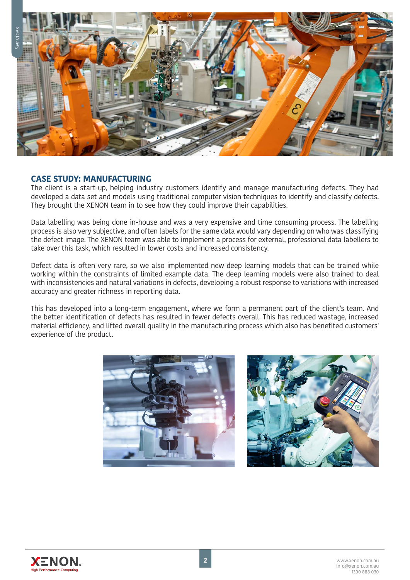

### **CASE STUDY: MANUFACTURING**

The client is a start-up, helping industry customers identify and manage manufacturing defects. They had developed a data set and models using traditional computer vision techniques to identify and classify defects. They brought the XENON team in to see how they could improve their capabilities.

Data labelling was being done in-house and was a very expensive and time consuming process. The labelling process is also very subjective, and often labels for the same data would vary depending on who was classifying the defect image. The XENON team was able to implement a process for external, professional data labellers to take over this task, which resulted in lower costs and increased consistency.

Defect data is often very rare, so we also implemented new deep learning models that can be trained while working within the constraints of limited example data. The deep learning models were also trained to deal with inconsistencies and natural variations in defects, developing a robust response to variations with increased accuracy and greater richness in reporting data.

This has developed into a long-term engagement, where we form a permanent part of the client's team. And the better identification of defects has resulted in fewer defects overall. This has reduced wastage, increased material efficiency, and lifted overall quality in the manufacturing process which also has benefited customers' experience of the product.





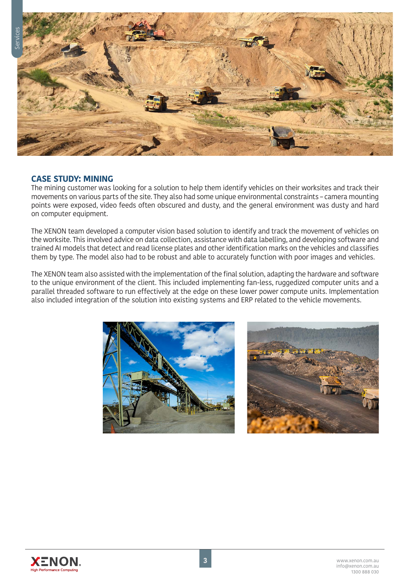

# **CASE STUDY: MINING**

The mining customer was looking for a solution to help them identify vehicles on their worksites and track their movements on various parts of the site. They also had some unique environmental constraints – camera mounting points were exposed, video feeds often obscured and dusty, and the general environment was dusty and hard on computer equipment.

The XENON team developed a computer vision based solution to identify and track the movement of vehicles on the worksite. This involved advice on data collection, assistance with data labelling, and developing software and trained AI models that detect and read license plates and other identification marks on the vehicles and classifies them by type. The model also had to be robust and able to accurately function with poor images and vehicles.

The XENON team also assisted with the implementation of the final solution, adapting the hardware and software to the unique environment of the client. This included implementing fan-less, ruggedized computer units and a parallel threaded software to run effectively at the edge on these lower power compute units. Implementation also included integration of the solution into existing systems and ERP related to the vehicle movements.